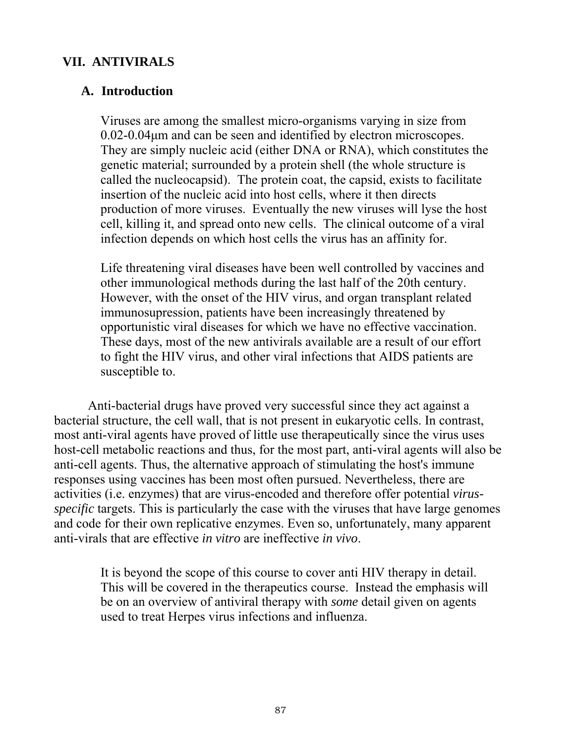#### **VII. ANTIVIRALS**

#### **A. Introduction**

 Viruses are among the smallest micro-organisms varying in size from 0.02-0.04µm and can be seen and identified by electron microscopes. They are simply nucleic acid (either DNA or RNA), which constitutes the genetic material; surrounded by a protein shell (the whole structure is called the nucleocapsid). The protein coat, the capsid, exists to facilitate insertion of the nucleic acid into host cells, where it then directs production of more viruses. Eventually the new viruses will lyse the host cell, killing it, and spread onto new cells. The clinical outcome of a viral infection depends on which host cells the virus has an affinity for.

 Life threatening viral diseases have been well controlled by vaccines and other immunological methods during the last half of the 20th century. However, with the onset of the HIV virus, and organ transplant related immunosupression, patients have been increasingly threatened by opportunistic viral diseases for which we have no effective vaccination. These days, most of the new antivirals available are a result of our effort to fight the HIV virus, and other viral infections that AIDS patients are susceptible to.

 Anti-bacterial drugs have proved very successful since they act against a bacterial structure, the cell wall, that is not present in eukaryotic cells. In contrast, most anti-viral agents have proved of little use therapeutically since the virus uses host-cell metabolic reactions and thus, for the most part, anti-viral agents will also be anti-cell agents. Thus, the alternative approach of stimulating the host's immune responses using vaccines has been most often pursued. Nevertheless, there are activities (i.e. enzymes) that are virus-encoded and therefore offer potential *virusspecific* targets. This is particularly the case with the viruses that have large genomes and code for their own replicative enzymes. Even so, unfortunately, many apparent anti-virals that are effective *in vitro* are ineffective *in vivo*.

> It is beyond the scope of this course to cover anti HIV therapy in detail. This will be covered in the therapeutics course. Instead the emphasis will be on an overview of antiviral therapy with *some* detail given on agents used to treat Herpes virus infections and influenza.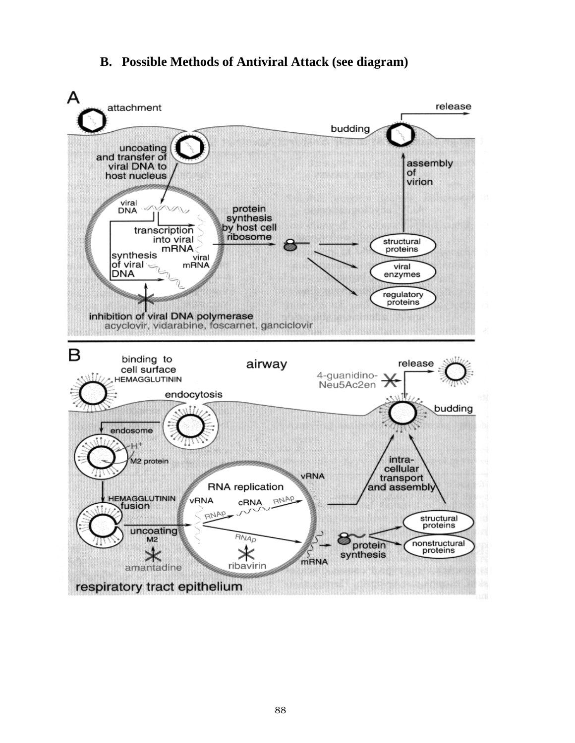#### **B. Possible Methods of Antiviral Attack (see diagram)**

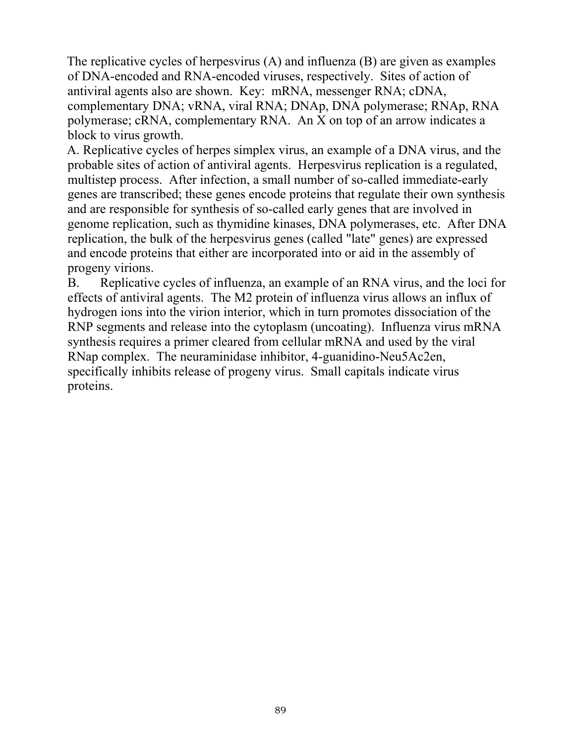The replicative cycles of herpesvirus (A) and influenza (B) are given as examples of DNA-encoded and RNA-encoded viruses, respectively. Sites of action of antiviral agents also are shown. Key: mRNA, messenger RNA; cDNA, complementary DNA; vRNA, viral RNA; DNAp, DNA polymerase; RNAp, RNA polymerase; cRNA, complementary RNA. An X on top of an arrow indicates a block to virus growth.

A. Replicative cycles of herpes simplex virus, an example of a DNA virus, and the probable sites of action of antiviral agents. Herpesvirus replication is a regulated, multistep process. After infection, a small number of so-called immediate-early genes are transcribed; these genes encode proteins that regulate their own synthesis and are responsible for synthesis of so-called early genes that are involved in genome replication, such as thymidine kinases, DNA polymerases, etc. After DNA replication, the bulk of the herpesvirus genes (called "late" genes) are expressed and encode proteins that either are incorporated into or aid in the assembly of progeny virions.

 B. Replicative cycles of influenza, an example of an RNA virus, and the loci for effects of antiviral agents. The M2 protein of influenza virus allows an influx of hydrogen ions into the virion interior, which in turn promotes dissociation of the RNP segments and release into the cytoplasm (uncoating). Influenza virus mRNA synthesis requires a primer cleared from cellular mRNA and used by the viral RNap complex. The neuraminidase inhibitor, 4-guanidino-Neu5Ac2en, specifically inhibits release of progeny virus. Small capitals indicate virus proteins.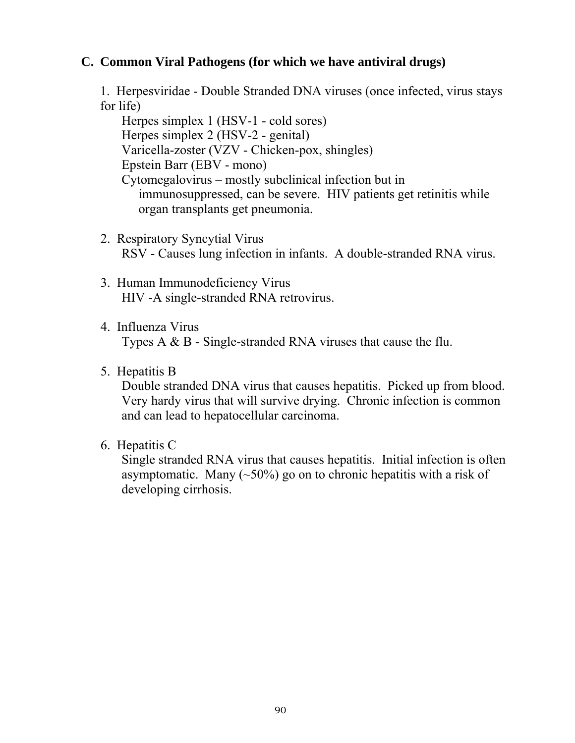### **C. Common Viral Pathogens (for which we have antiviral drugs)**

 1. Herpesviridae - Double Stranded DNA viruses (once infected, virus stays for life)

 Herpes simplex 1 (HSV-1 - cold sores) Herpes simplex 2 (HSV-2 - genital) Varicella-zoster (VZV - Chicken-pox, shingles) Epstein Barr (EBV - mono) Cytomegalovirus – mostly subclinical infection but in immunosuppressed, can be severe. HIV patients get retinitis while organ transplants get pneumonia.

- 2. Respiratory Syncytial Virus RSV - Causes lung infection in infants. A double-stranded RNA virus.
- 3. Human Immunodeficiency Virus HIV -A single-stranded RNA retrovirus.
- 4. Influenza Virus Types A & B - Single-stranded RNA viruses that cause the flu.
- 5. Hepatitis B

 Double stranded DNA virus that causes hepatitis. Picked up from blood. Very hardy virus that will survive drying. Chronic infection is common and can lead to hepatocellular carcinoma.

6. Hepatitis C

 Single stranded RNA virus that causes hepatitis. Initial infection is often asymptomatic. Many  $(\sim 50\%)$  go on to chronic hepatitis with a risk of developing cirrhosis.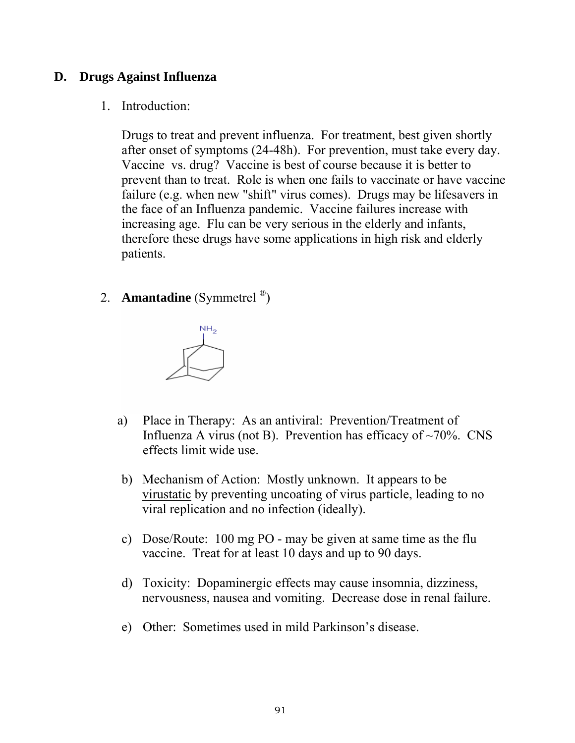# **D. Drugs Against Influenza**

#### 1. Introduction:

 Drugs to treat and prevent influenza. For treatment, best given shortly after onset of symptoms (24-48h). For prevention, must take every day. Vaccine vs. drug? Vaccine is best of course because it is better to prevent than to treat. Role is when one fails to vaccinate or have vaccine failure (e.g. when new "shift" virus comes). Drugs may be lifesavers in the face of an Influenza pandemic. Vaccine failures increase with increasing age. Flu can be very serious in the elderly and infants, therefore these drugs have some applications in high risk and elderly patients.

2. **Amantadine** (Symmetrel ®)



- a) Place in Therapy: As an antiviral: Prevention/Treatment of Influenza A virus (not B). Prevention has efficacy of  $\sim$ 70%. CNS effects limit wide use.
- b) Mechanism of Action: Mostly unknown. It appears to be virustatic by preventing uncoating of virus particle, leading to no viral replication and no infection (ideally).
- c) Dose/Route: 100 mg PO may be given at same time as the flu vaccine. Treat for at least 10 days and up to 90 days.
- d) Toxicity: Dopaminergic effects may cause insomnia, dizziness, nervousness, nausea and vomiting. Decrease dose in renal failure.
- e) Other: Sometimes used in mild Parkinson's disease.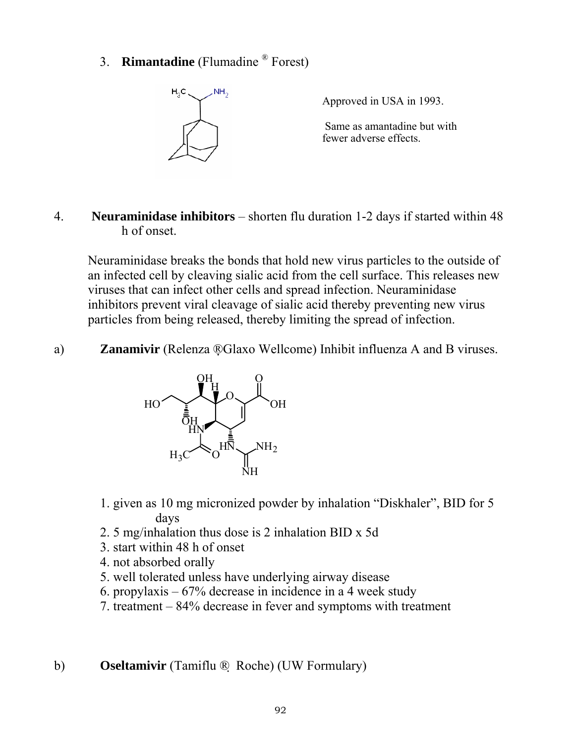3. **Rimantadine** (Flumadine ® Forest)

![](_page_5_Figure_1.jpeg)

Approved in USA in 1993.

 Same as amantadine but with fewer adverse effects.

4. **Neuraminidase inhibitors** – shorten flu duration 1-2 days if started within 48 h of onset.

Neuraminidase breaks the bonds that hold new virus particles to the outside of an infected cell by cleaving sialic acid from the cell surface. This releases new viruses that can infect other cells and spread infection. Neuraminidase inhibitors prevent viral cleavage of sialic acid thereby preventing new virus particles from being released, thereby limiting the spread of infection.

a) **Zanamivir** (Relenza ®Glaxo Wellcome) Inhibit influenza A and B viruses.

![](_page_5_Figure_7.jpeg)

- 1. given as 10 mg micronized powder by inhalation "Diskhaler", BID for 5 days
- 2. 5 mg/inhalation thus dose is 2 inhalation BID x 5d
- 3. start within 48 h of onset
- 4. not absorbed orally
- 5. well tolerated unless have underlying airway disease
- 6. propylaxis 67% decrease in incidence in a 4 week study
- 7. treatment 84% decrease in fever and symptoms with treatment

b) **Oseltamivir** (Tamiflu ® Roche) (UW Formulary)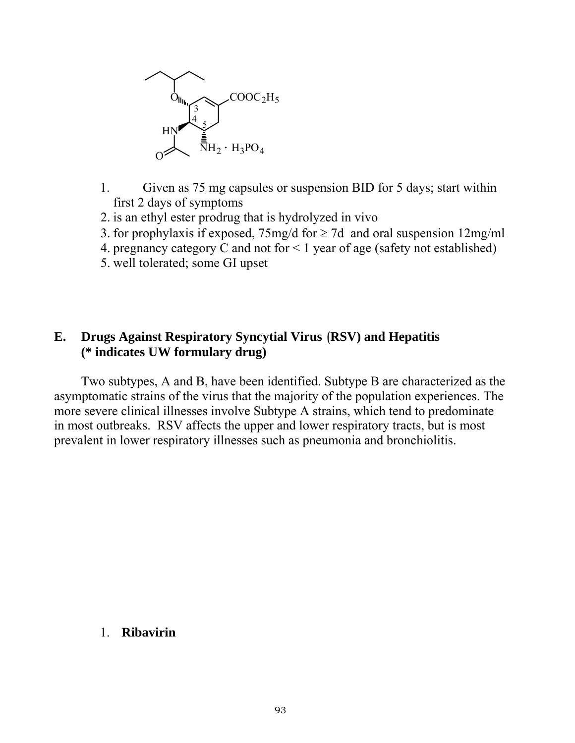![](_page_6_Figure_0.jpeg)

- 1. Given as 75 mg capsules or suspension BID for 5 days; start within first 2 days of symptoms
- 2. is an ethyl ester prodrug that is hydrolyzed in vivo
- 3. for prophylaxis if exposed,  $75mg/d$  for  $\geq 7d$  and oral suspension 12mg/ml
- 4. pregnancy category C and not for < 1 year of age (safety not established)
- 5. well tolerated; some GI upset

#### **E. Drugs Against Respiratory Syncytial Virus** (**RSV) and Hepatitis (\* indicates UW formulary drug)**

Two subtypes, A and B, have been identified. Subtype B are characterized as the asymptomatic strains of the virus that the majority of the population experiences. The more severe clinical illnesses involve Subtype A strains, which tend to predominate in most outbreaks. RSV affects the upper and lower respiratory tracts, but is most prevalent in lower respiratory illnesses such as pneumonia and bronchiolitis.

#### 1. **Ribavirin**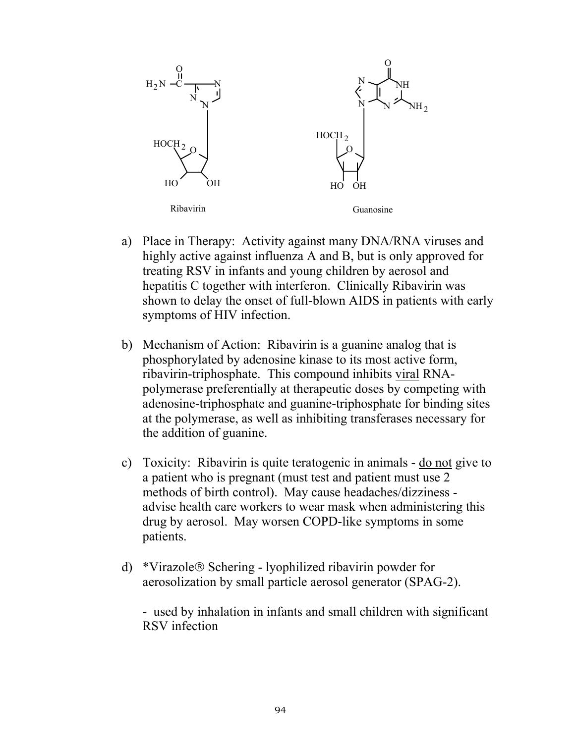![](_page_7_Figure_0.jpeg)

- a) Place in Therapy: Activity against many DNA/RNA viruses and highly active against influenza A and B, but is only approved for treating RSV in infants and young children by aerosol and hepatitis C together with interferon. Clinically Ribavirin was shown to delay the onset of full-blown AIDS in patients with early symptoms of HIV infection.
- b) Mechanism of Action: Ribavirin is a guanine analog that is phosphorylated by adenosine kinase to its most active form, ribavirin-triphosphate. This compound inhibits viral RNApolymerase preferentially at therapeutic doses by competing with adenosine-triphosphate and guanine-triphosphate for binding sites at the polymerase, as well as inhibiting transferases necessary for the addition of guanine.
- c) Toxicity: Ribavirin is quite teratogenic in animals do not give to a patient who is pregnant (must test and patient must use 2 methods of birth control). May cause headaches/dizziness advise health care workers to wear mask when administering this drug by aerosol. May worsen COPD-like symptoms in some patients.
- d) \*Virazole® Schering lyophilized ribavirin powder for aerosolization by small particle aerosol generator (SPAG-2).

 - used by inhalation in infants and small children with significant RSV infection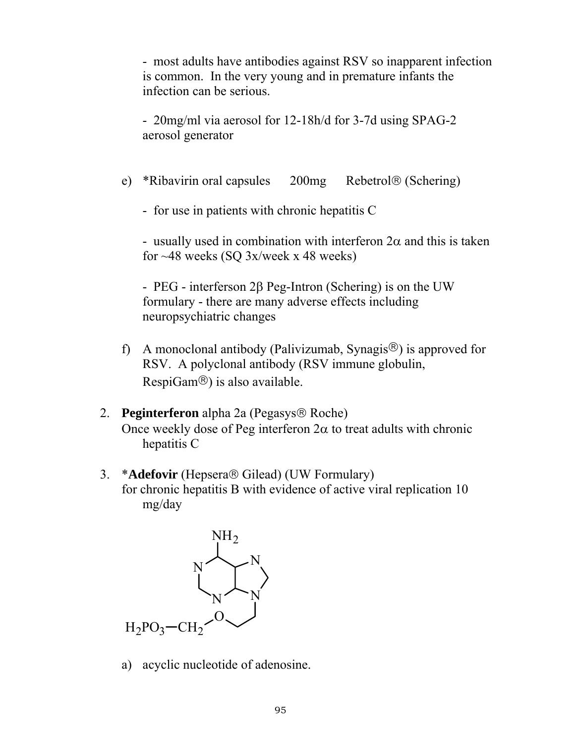- most adults have antibodies against RSV so inapparent infection is common. In the very young and in premature infants the infection can be serious.

 - 20mg/ml via aerosol for 12-18h/d for 3-7d using SPAG-2 aerosol generator

- e) \*Ribavirin oral capsules 200mg Rebetrol® (Schering)
	- for use in patients with chronic hepatitis C

- usually used in combination with interferon  $2\alpha$  and this is taken for  $~48$  weeks (SQ 3x/week x 48 weeks)

 - PEG - interferson 2β Peg-Intron (Schering) is on the UW formulary - there are many adverse effects including neuropsychiatric changes

- f) A monoclonal antibody (Palivizumab, Synagis®) is approved for RSV. A polyclonal antibody (RSV immune globulin, RespiGam®) is also available.
- 2. **Peginterferon** alpha 2a (Pegasys® Roche) Once weekly dose of Peg interferon  $2\alpha$  to treat adults with chronic hepatitis C
- 3. \***Adefovir** (Hepsera® Gilead) (UW Formulary) for chronic hepatitis B with evidence of active viral replication 10 mg/day

![](_page_8_Picture_9.jpeg)

a) acyclic nucleotide of adenosine.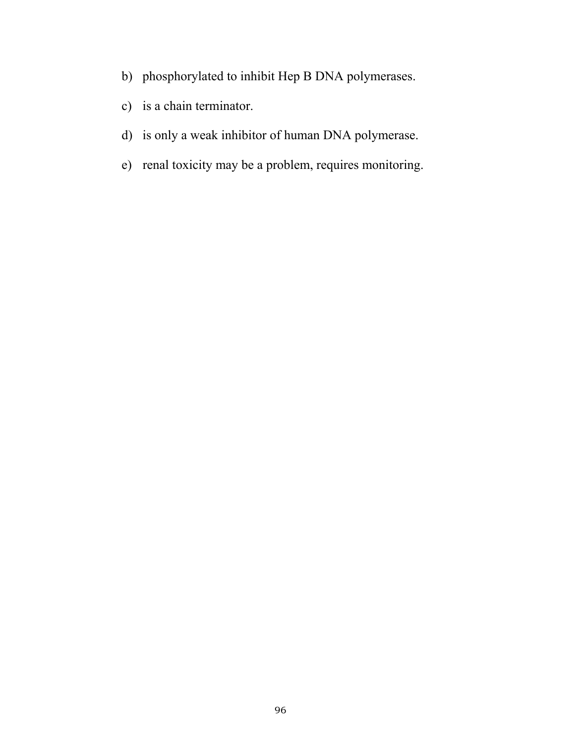- b) phosphorylated to inhibit Hep B DNA polymerases.
- c) is a chain terminator.
- d) is only a weak inhibitor of human DNA polymerase.
- e) renal toxicity may be a problem, requires monitoring.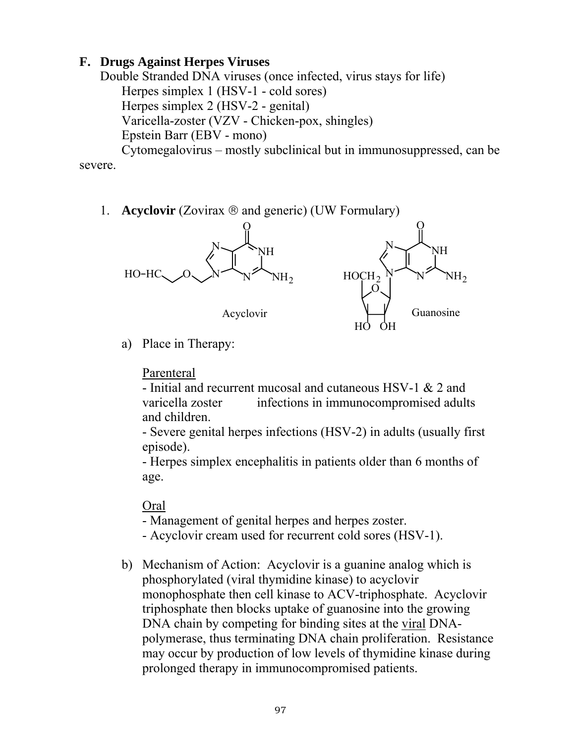# **F. Drugs Against Herpes Viruses**

Double Stranded DNA viruses (once infected, virus stays for life) Herpes simplex 1 (HSV-1 - cold sores) Herpes simplex 2 (HSV-2 - genital) Varicella-zoster (VZV - Chicken-pox, shingles) Epstein Barr (EBV - mono)

 Cytomegalovirus – mostly subclinical but in immunosuppressed, can be severe.

1. **Acyclovir** (Zovirax ® and generic) (UW Formulary)

![](_page_10_Figure_4.jpeg)

a) Place in Therapy:

### Parenteral

 - Initial and recurrent mucosal and cutaneous HSV-1 & 2 and varicella zoster infections in immunocompromised adults and children.

 - Severe genital herpes infections (HSV-2) in adults (usually first episode).

 - Herpes simplex encephalitis in patients older than 6 months of age.

### Oral

- Management of genital herpes and herpes zoster.

- Acyclovir cream used for recurrent cold sores (HSV-1).
- b) Mechanism of Action: Acyclovir is a guanine analog which is phosphorylated (viral thymidine kinase) to acyclovir monophosphate then cell kinase to ACV-triphosphate. Acyclovir triphosphate then blocks uptake of guanosine into the growing DNA chain by competing for binding sites at the viral DNApolymerase, thus terminating DNA chain proliferation. Resistance may occur by production of low levels of thymidine kinase during prolonged therapy in immunocompromised patients.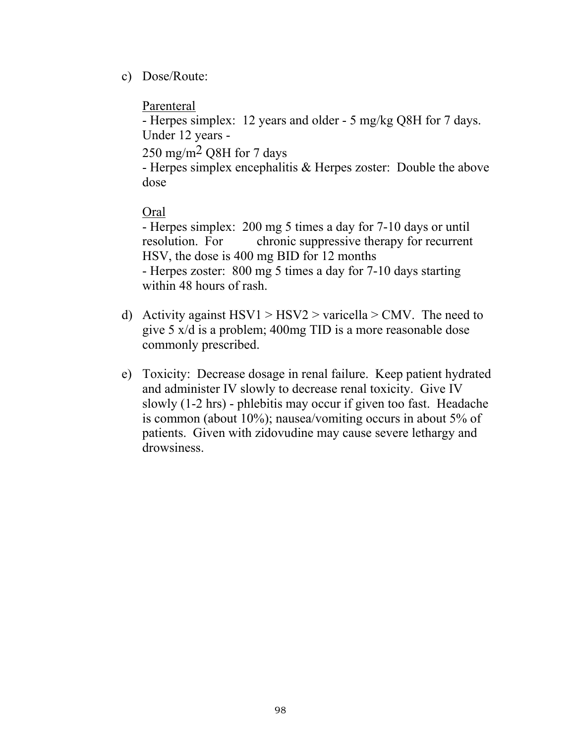c) Dose/Route:

# Parenteral

 - Herpes simplex: 12 years and older - 5 mg/kg Q8H for 7 days. Under 12 years -

 $250 \text{ mg/m}^2$  O8H for 7 days

 - Herpes simplex encephalitis & Herpes zoster: Double the above dose

# Oral

 - Herpes simplex: 200 mg 5 times a day for 7-10 days or until resolution. For chronic suppressive therapy for recurrent HSV, the dose is 400 mg BID for 12 months - Herpes zoster: 800 mg 5 times a day for 7-10 days starting within 48 hours of rash.

- d) Activity against  $HSV1 > HSV2 >$  varicella > CMV. The need to give 5 x/d is a problem; 400mg TID is a more reasonable dose commonly prescribed.
- e) Toxicity: Decrease dosage in renal failure. Keep patient hydrated and administer IV slowly to decrease renal toxicity. Give IV slowly (1-2 hrs) - phlebitis may occur if given too fast. Headache is common (about 10%); nausea/vomiting occurs in about 5% of patients. Given with zidovudine may cause severe lethargy and drowsiness.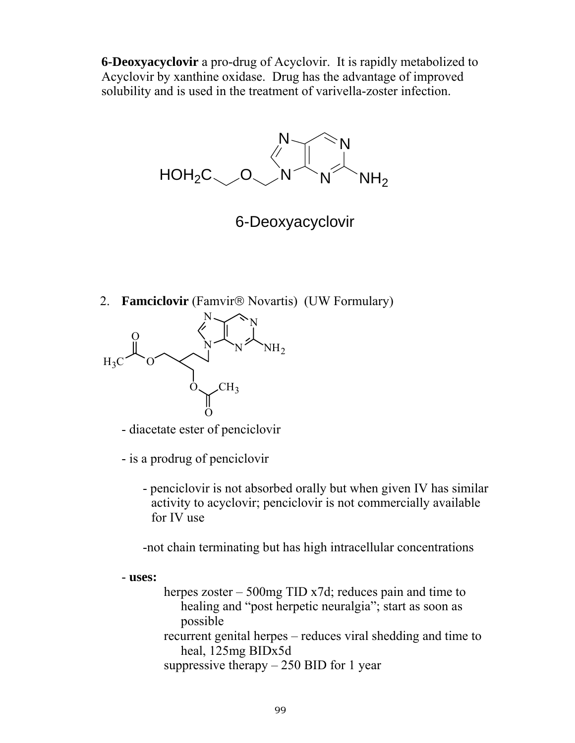**6-Deoxyacyclovir** a pro-drug of Acyclovir. It is rapidly metabolized to Acyclovir by xanthine oxidase. Drug has the advantage of improved solubility and is used in the treatment of varivella-zoster infection.

N  $N \searrow N$  $HOH_2C \sim 0 \sim N \sim N \sim N$ 

6-Deoxyacyclovir

2. **Famciclovir** (Famvir® Novartis) (UW Formulary)

![](_page_12_Figure_4.jpeg)

- diacetate ester of penciclovir

- is a prodrug of penciclovir

 - penciclovir is not absorbed orally but when given IV has similar activity to acyclovir; penciclovir is not commercially available for IV use

-not chain terminating but has high intracellular concentrations

- **uses:**

herpes zoster – 500mg TID x7d; reduces pain and time to healing and "post herpetic neuralgia"; start as soon as possible recurrent genital herpes – reduces viral shedding and time to heal, 125mg BIDx5d suppressive therapy  $-250$  BID for 1 year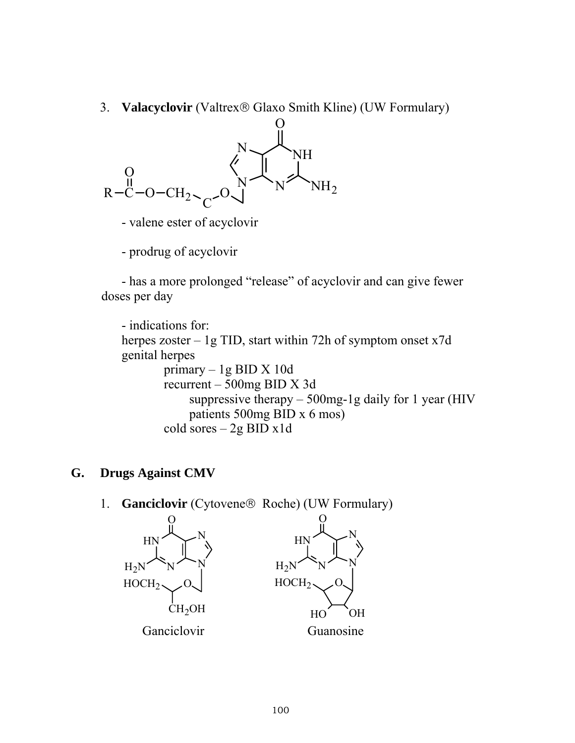3. **Valacyclovir** (Valtrex® Glaxo Smith Kline) (UW Formulary)

![](_page_13_Figure_1.jpeg)

- valene ester of acyclovir
- prodrug of acyclovir

 - has a more prolonged "release" of acyclovir and can give fewer doses per day

 - indications for: herpes zoster – 1g TID, start within 72h of symptom onset x7d genital herpes primary – 1g BID X 10d recurrent – 500mg BID X 3d suppressive therapy  $-500$  mg-1g daily for 1 year (HIV patients 500mg BID x 6 mos) cold sores – 2g BID x1d

### **G. Drugs Against CMV**

1. **Ganciclovir** (Cytovene® Roche) (UW Formulary)

![](_page_13_Figure_8.jpeg)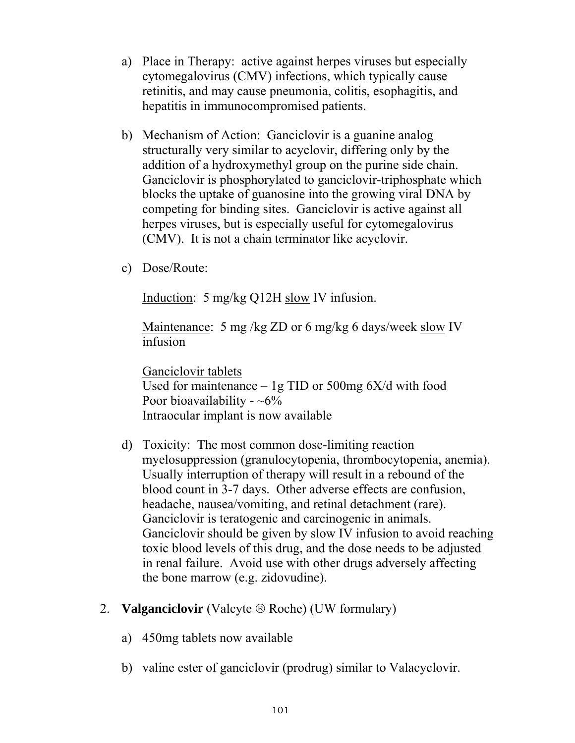- a) Place in Therapy: active against herpes viruses but especially cytomegalovirus (CMV) infections, which typically cause retinitis, and may cause pneumonia, colitis, esophagitis, and hepatitis in immunocompromised patients.
- b) Mechanism of Action: Ganciclovir is a guanine analog structurally very similar to acyclovir, differing only by the addition of a hydroxymethyl group on the purine side chain. Ganciclovir is phosphorylated to ganciclovir-triphosphate which blocks the uptake of guanosine into the growing viral DNA by competing for binding sites. Ganciclovir is active against all herpes viruses, but is especially useful for cytomegalovirus (CMV). It is not a chain terminator like acyclovir.
- c) Dose/Route:

Induction: 5 mg/kg Q12H slow IV infusion.

Maintenance: 5 mg/kg ZD or 6 mg/kg 6 days/week slow IV infusion

 Ganciclovir tablets Used for maintenance  $-1g$  TID or 500mg 6X/d with food Poor bioavailability -  $~6\%$ Intraocular implant is now available

- d) Toxicity: The most common dose-limiting reaction myelosuppression (granulocytopenia, thrombocytopenia, anemia). Usually interruption of therapy will result in a rebound of the blood count in 3-7 days. Other adverse effects are confusion, headache, nausea/vomiting, and retinal detachment (rare). Ganciclovir is teratogenic and carcinogenic in animals. Ganciclovir should be given by slow IV infusion to avoid reaching toxic blood levels of this drug, and the dose needs to be adjusted in renal failure. Avoid use with other drugs adversely affecting the bone marrow (e.g. zidovudine).
- 2. **Valganciclovir** (Valcyte ® Roche) (UW formulary)
	- a) 450mg tablets now available
	- b) valine ester of ganciclovir (prodrug) similar to Valacyclovir.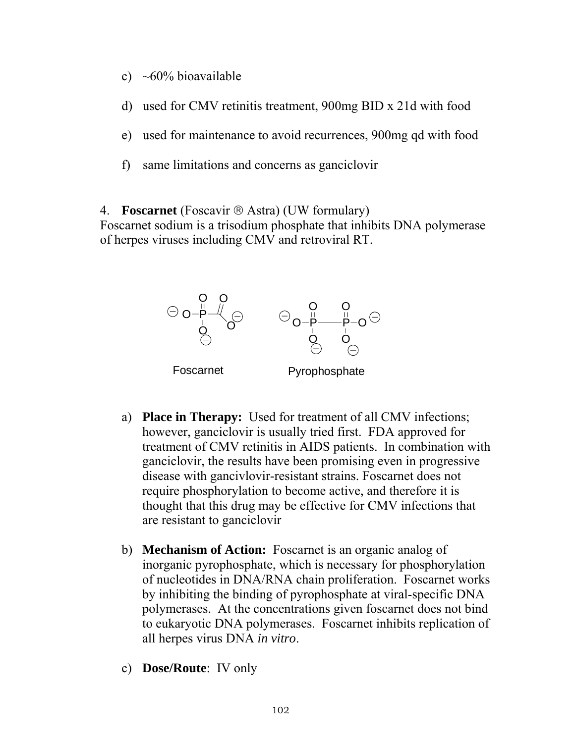- c)  $\sim 60\%$  bioavailable
- d) used for CMV retinitis treatment, 900mg BID x 21d with food
- e) used for maintenance to avoid recurrences, 900mg qd with food
- f) same limitations and concerns as ganciclovir
- 4. **Foscarnet** (Foscavir ® Astra) (UW formulary)

Foscarnet sodium is a trisodium phosphate that inhibits DNA polymerase of herpes viruses including CMV and retroviral RT.

![](_page_15_Figure_6.jpeg)

- a) **Place in Therapy:** Used for treatment of all CMV infections; however, ganciclovir is usually tried first. FDA approved for treatment of CMV retinitis in AIDS patients. In combination with ganciclovir, the results have been promising even in progressive disease with gancivlovir-resistant strains. Foscarnet does not require phosphorylation to become active, and therefore it is thought that this drug may be effective for CMV infections that are resistant to ganciclovir
- b) **Mechanism of Action:** Foscarnet is an organic analog of inorganic pyrophosphate, which is necessary for phosphorylation of nucleotides in DNA/RNA chain proliferation. Foscarnet works by inhibiting the binding of pyrophosphate at viral-specific DNA polymerases. At the concentrations given foscarnet does not bind to eukaryotic DNA polymerases. Foscarnet inhibits replication of all herpes virus DNA *in vitro*.
- c) **Dose/Route**: IV only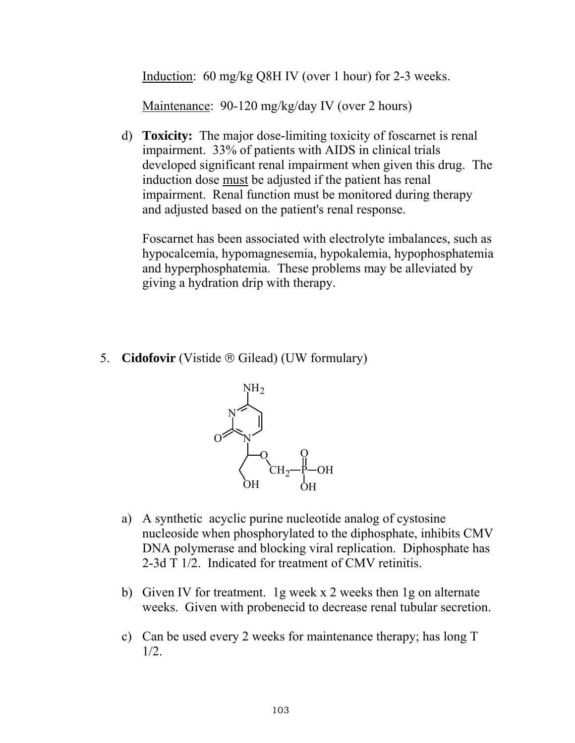Induction: 60 mg/kg Q8H IV (over 1 hour) for 2-3 weeks.

Maintenance: 90-120 mg/kg/day IV (over 2 hours)

 d) **Toxicity:** The major dose-limiting toxicity of foscarnet is renal impairment. 33% of patients with AIDS in clinical trials developed significant renal impairment when given this drug. The induction dose must be adjusted if the patient has renal impairment. Renal function must be monitored during therapy and adjusted based on the patient's renal response.

 Foscarnet has been associated with electrolyte imbalances, such as hypocalcemia, hypomagnesemia, hypokalemia, hypophosphatemia and hyperphosphatemia. These problems may be alleviated by giving a hydration drip with therapy.

5. **Cidofovir** (Vistide ® Gilead) (UW formulary)

![](_page_16_Figure_5.jpeg)

- a) A synthetic acyclic purine nucleotide analog of cystosine nucleoside when phosphorylated to the diphosphate, inhibits CMV DNA polymerase and blocking viral replication. Diphosphate has 2-3d T 1/2. Indicated for treatment of CMV retinitis.
- b) Given IV for treatment. 1g week x 2 weeks then 1g on alternate weeks. Given with probenecid to decrease renal tubular secretion.
- c) Can be used every 2 weeks for maintenance therapy; has long T 1/2.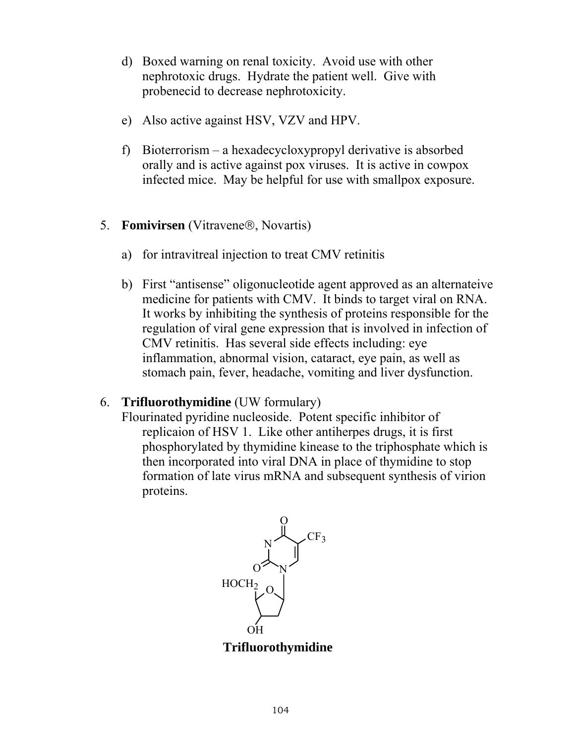- d) Boxed warning on renal toxicity. Avoid use with other nephrotoxic drugs. Hydrate the patient well. Give with probenecid to decrease nephrotoxicity.
- e) Also active against HSV, VZV and HPV.
- f) Bioterrorism a hexadecycloxypropyl derivative is absorbed orally and is active against pox viruses. It is active in cowpox infected mice. May be helpful for use with smallpox exposure.
- 5. **Fomivirsen** (Vitravene®, Novartis)
	- a) for intravitreal injection to treat CMV retinitis
	- b) First "antisense" oligonucleotide agent approved as an alternateive medicine for patients with CMV. It binds to target viral on RNA. It works by inhibiting the synthesis of proteins responsible for the regulation of viral gene expression that is involved in infection of CMV retinitis. Has several side effects including: eye inflammation, abnormal vision, cataract, eye pain, as well as stomach pain, fever, headache, vomiting and liver dysfunction.

### 6. **Trifluorothymidine** (UW formulary)

 Flourinated pyridine nucleoside. Potent specific inhibitor of replicaion of HSV 1. Like other antiherpes drugs, it is first phosphorylated by thymidine kinease to the triphosphate which is then incorporated into viral DNA in place of thymidine to stop formation of late virus mRNA and subsequent synthesis of virion proteins.

![](_page_17_Figure_8.jpeg)

**Trifluorothymidine**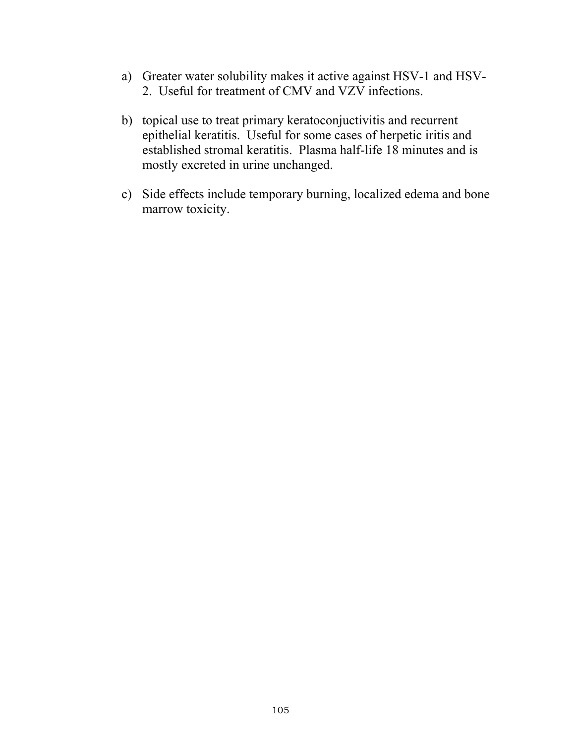- a) Greater water solubility makes it active against HSV-1 and HSV-2. Useful for treatment of CMV and VZV infections.
- b) topical use to treat primary keratoconjuctivitis and recurrent epithelial keratitis. Useful for some cases of herpetic iritis and established stromal keratitis. Plasma half-life 18 minutes and is mostly excreted in urine unchanged.
- c) Side effects include temporary burning, localized edema and bone marrow toxicity.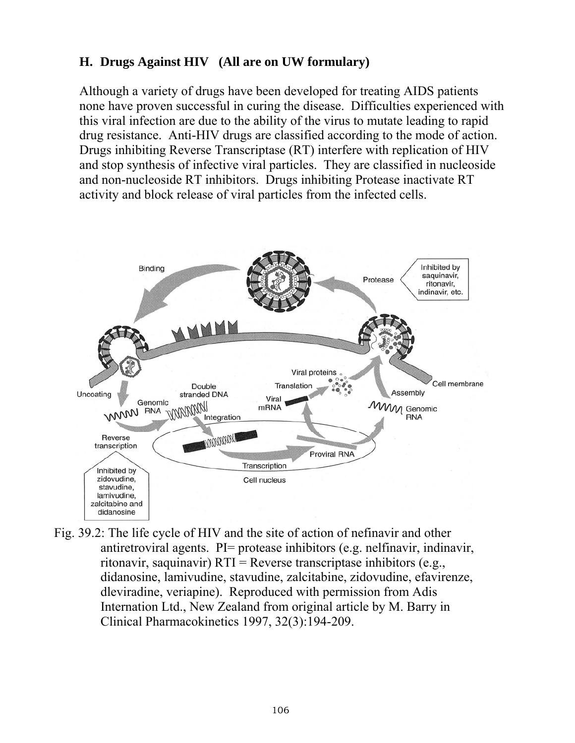# **H. Drugs Against HIV (All are on UW formulary)**

Although a variety of drugs have been developed for treating AIDS patients none have proven successful in curing the disease. Difficulties experienced with this viral infection are due to the ability of the virus to mutate leading to rapid drug resistance. Anti-HIV drugs are classified according to the mode of action. Drugs inhibiting Reverse Transcriptase (RT) interfere with replication of HIV and stop synthesis of infective viral particles. They are classified in nucleoside and non-nucleoside RT inhibitors. Drugs inhibiting Protease inactivate RT activity and block release of viral particles from the infected cells.

![](_page_19_Figure_2.jpeg)

Fig. 39.2: The life cycle of HIV and the site of action of nefinavir and other antiretroviral agents. PI= protease inhibitors (e.g. nelfinavir, indinavir, ritonavir, saquinavir)  $RTI =$ Reverse transcriptase inhibitors (e.g., didanosine, lamivudine, stavudine, zalcitabine, zidovudine, efavirenze, dleviradine, veriapine). Reproduced with permission from Adis Internation Ltd., New Zealand from original article by M. Barry in Clinical Pharmacokinetics 1997, 32(3):194-209.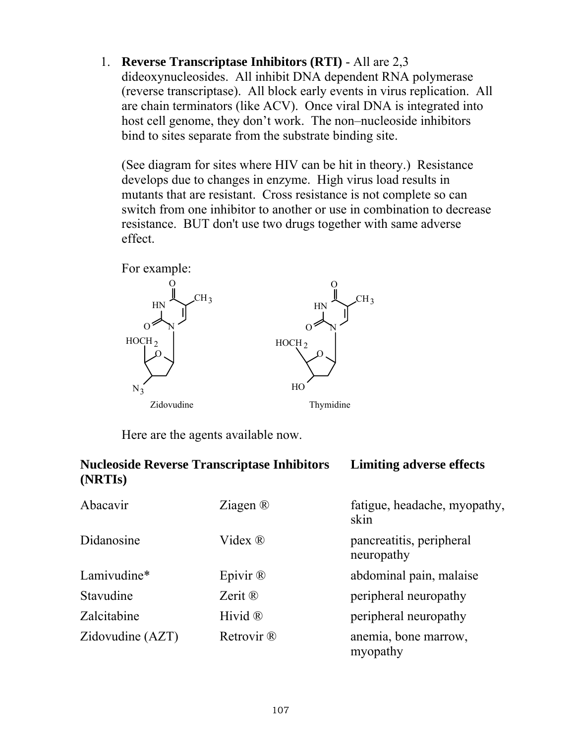1. **Reverse Transcriptase Inhibitors (RTI)** - All are 2,3 dideoxynucleosides. All inhibit DNA dependent RNA polymerase (reverse transcriptase). All block early events in virus replication. All are chain terminators (like ACV). Once viral DNA is integrated into host cell genome, they don't work. The non–nucleoside inhibitors bind to sites separate from the substrate binding site.

 (See diagram for sites where HIV can be hit in theory.) Resistance develops due to changes in enzyme. High virus load results in mutants that are resistant. Cross resistance is not complete so can switch from one inhibitor to another or use in combination to decrease resistance. BUT don't use two drugs together with same adverse effect.

![](_page_20_Figure_2.jpeg)

Here are the agents available now.

| <b>Nucleoside Reverse Transcriptase Inhibitors</b><br>(NRTI <sub>s</sub> ) | <b>Limiting adverse effects</b> |                                        |
|----------------------------------------------------------------------------|---------------------------------|----------------------------------------|
| Abacavir                                                                   | Ziagen $\mathbb{R}$             | fatigue, headache, myopathy,<br>skin   |
| Didanosine                                                                 | Videx $\Re$                     | pancreatitis, peripheral<br>neuropathy |
| Lamivudine*                                                                | Epivir $\mathbb{R}$             | abdominal pain, malaise                |
| Stavudine                                                                  | Zerit $\mathbb{R}$              | peripheral neuropathy                  |
| Zalcitabine                                                                | Hivid $\mathbb{R}$              | peripheral neuropathy                  |
| Zidovudine (AZT)                                                           | Retrovir ®                      | anemia, bone marrow,<br>myopathy       |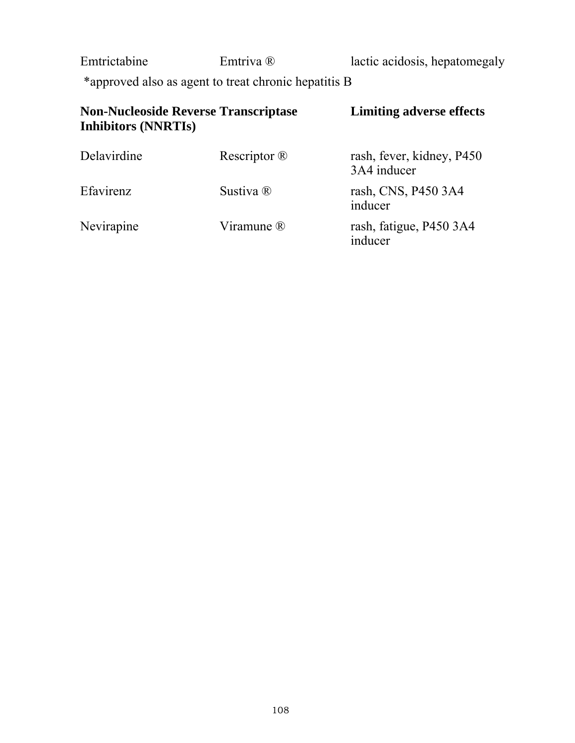Emtrictabine Emtriva ® lactic acidosis, hepatomegaly

\*approved also as agent to treat chronic hepatitis B

| <b>Non-Nucleoside Reverse Transcriptase</b><br><b>Inhibitors (NNRTIs)</b> |                         | <b>Limiting adverse effects</b>          |
|---------------------------------------------------------------------------|-------------------------|------------------------------------------|
| Delavirdine                                                               | Rescriptor $\mathbb{R}$ | rash, fever, kidney, P450<br>3A4 inducer |
| Efavirenz                                                                 | Sustiva ®               | rash, CNS, P450 3A4<br>inducer           |
| Nevirapine                                                                | Viramune ®              | rash, fatigue, P450 3A4<br>inducer       |